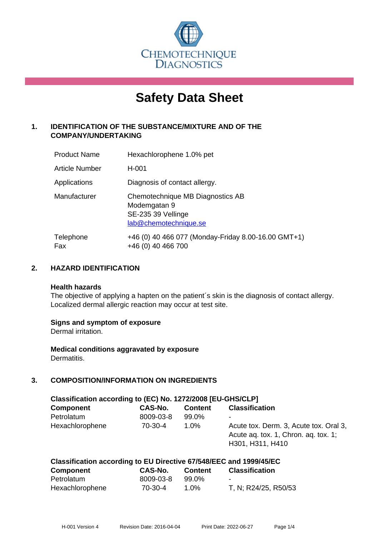

# **Safety Data Sheet**

# **1. IDENTIFICATION OF THE SUBSTANCE/MIXTURE AND OF THE COMPANY/UNDERTAKING**

| <b>Product Name</b> | Hexachlorophene 1.0% pet                                                                        |
|---------------------|-------------------------------------------------------------------------------------------------|
| Article Number      | H-001                                                                                           |
| Applications        | Diagnosis of contact allergy.                                                                   |
| Manufacturer        | Chemotechnique MB Diagnostics AB<br>Modemgatan 9<br>SE-235 39 Vellinge<br>lab@chemotechnique.se |
| Telephone<br>Fax    | +46 (0) 40 466 077 (Monday-Friday 8.00-16.00 GMT+1)<br>+46 (0) 40 466 700                       |

## **2. HAZARD IDENTIFICATION**

#### **Health hazards**

The objective of applying a hapten on the patient's skin is the diagnosis of contact allergy. Localized dermal allergic reaction may occur at test site.

## **Signs and symptom of exposure**

Dermal irritation.

**Medical conditions aggravated by exposure** Dermatitis.

## **3. COMPOSITION/INFORMATION ON INGREDIENTS**

| Classification according to (EC) No. 1272/2008 [EU-GHS/CLP] |           |                |                                                                                                    |  |
|-------------------------------------------------------------|-----------|----------------|----------------------------------------------------------------------------------------------------|--|
| <b>Component</b>                                            | CAS-No.   | <b>Content</b> | <b>Classification</b>                                                                              |  |
| Petrolatum                                                  | 8009-03-8 | 99.0%          | ۰                                                                                                  |  |
| Hexachlorophene                                             | $70-30-4$ | 1.0%           | Acute tox. Derm. 3, Acute tox. Oral 3,<br>Acute ag. tox. 1, Chron. ag. tox. 1;<br>H301, H311, H410 |  |

| Classification according to EU Directive 67/548/EEC and 1999/45/EC |           |         |                          |
|--------------------------------------------------------------------|-----------|---------|--------------------------|
| Component                                                          | CAS-No.   | Content | <b>Classification</b>    |
| Petrolatum                                                         | 8009-03-8 | 99.0%   | $\overline{\phantom{0}}$ |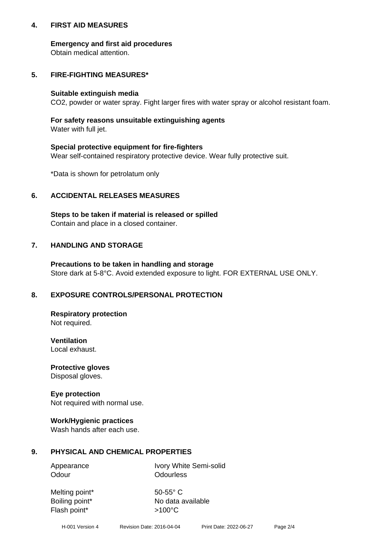## **4. FIRST AID MEASURES**

## **Emergency and first aid procedures**

Obtain medical attention.

# **5. FIRE-FIGHTING MEASURES\***

#### **Suitable extinguish media**

CO2, powder or water spray. Fight larger fires with water spray or alcohol resistant foam.

# **For safety reasons unsuitable extinguishing agents**

Water with full jet.

## **Special protective equipment for fire-fighters**

Wear self-contained respiratory protective device. Wear fully protective suit.

\*Data is shown for petrolatum only

## **6. ACCIDENTAL RELEASES MEASURES**

**Steps to be taken if material is released or spilled** Contain and place in a closed container.

# **7. HANDLING AND STORAGE**

**Precautions to be taken in handling and storage** Store dark at 5-8°C. Avoid extended exposure to light. FOR EXTERNAL USE ONLY.

# **8. EXPOSURE CONTROLS/PERSONAL PROTECTION**

**Respiratory protection** Not required.

**Ventilation** Local exhaust.

**Protective gloves** Disposal gloves.

#### **Eye protection** Not required with normal use.

## **Work/Hygienic practices**

Wash hands after each use.

## **9. PHYSICAL AND CHEMICAL PROPERTIES**

Odour **Odourless** 

Appearance Ivory White Semi-solid

Melting point\* 50-55° C Flash point\*  $>100^{\circ}$ C

Boiling point\* No data available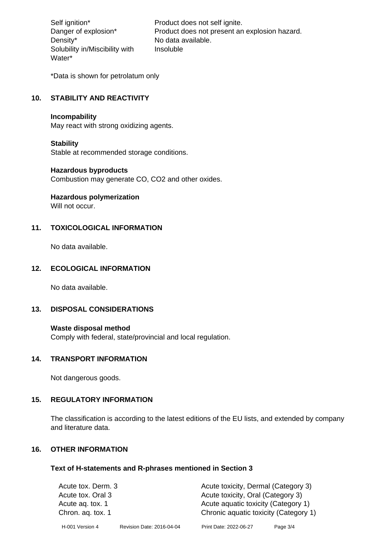Density\* No data available. Solubility in/Miscibility with Water\*

Self ignition\* Product does not self ignite. Danger of explosion\* Product does not present an explosion hazard. Insoluble

\*Data is shown for petrolatum only

# **10. STABILITY AND REACTIVITY**

#### **Incompability**

May react with strong oxidizing agents.

#### **Stability**

Stable at recommended storage conditions.

## **Hazardous byproducts**

Combustion may generate CO, CO2 and other oxides.

**Hazardous polymerization**

Will not occur.

## **11. TOXICOLOGICAL INFORMATION**

No data available.

## **12. ECOLOGICAL INFORMATION**

No data available.

## **13. DISPOSAL CONSIDERATIONS**

#### **Waste disposal method**

Comply with federal, state/provincial and local regulation.

#### **14. TRANSPORT INFORMATION**

Not dangerous goods.

## **15. REGULATORY INFORMATION**

The classification is according to the latest editions of the EU lists, and extended by company and literature data.

#### **16. OTHER INFORMATION**

#### **Text of H-statements and R-phrases mentioned in Section 3**

| Acute tox. Derm. 3 |                           | Acute toxicity, Dermal (Category 3)   |          |  |
|--------------------|---------------------------|---------------------------------------|----------|--|
| Acute tox. Oral 3  |                           | Acute toxicity, Oral (Category 3)     |          |  |
| Acute ag. tox. 1   |                           | Acute aquatic toxicity (Category 1)   |          |  |
| Chron. aq. tox. 1  |                           | Chronic aquatic toxicity (Category 1) |          |  |
| H-001 Version 4    | Revision Date: 2016-04-04 | Print Date: 2022-06-27                | Page 3/4 |  |